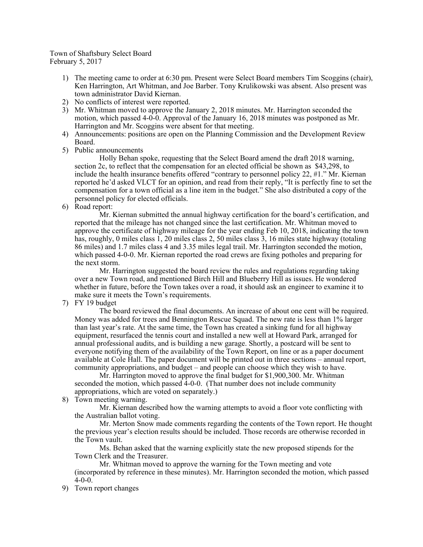## Town of Shaftsbury Select Board February 5, 2017

- 1) The meeting came to order at 6:30 pm. Present were Select Board members Tim Scoggins (chair), Ken Harrington, Art Whitman, and Joe Barber. Tony Krulikowski was absent. Also present was town administrator David Kiernan.
- 2) No conflicts of interest were reported.
- 3) Mr. Whitman moved to approve the January 2, 2018 minutes. Mr. Harrington seconded the motion, which passed 4-0-0. Approval of the January 16, 2018 minutes was postponed as Mr. Harrington and Mr. Scoggins were absent for that meeting.
- 4) Announcements: positions are open on the Planning Commission and the Development Review Board.
- 5) Public announcements

Holly Behan spoke, requesting that the Select Board amend the draft 2018 warning, section 2c, to reflect that the compensation for an elected official be shown as \$43,298, to include the health insurance benefits offered "contrary to personnel policy 22, #1." Mr. Kiernan reported he'd asked VLCT for an opinion, and read from their reply, "It is perfectly fine to set the compensation for a town official as a line item in the budget." She also distributed a copy of the personnel policy for elected officials.

6) Road report:

Mr. Kiernan submitted the annual highway certification for the board's certification, and reported that the mileage has not changed since the last certification. Mr. Whitman moved to approve the certificate of highway mileage for the year ending Feb 10, 2018, indicating the town has, roughly, 0 miles class 1, 20 miles class 2, 50 miles class 3, 16 miles state highway (totaling 86 miles) and 1.7 miles class 4 and 3.35 miles legal trail. Mr. Harrington seconded the motion, which passed 4-0-0. Mr. Kiernan reported the road crews are fixing potholes and preparing for the next storm.

Mr. Harrington suggested the board review the rules and regulations regarding taking over a new Town road, and mentioned Birch Hill and Blueberry Hill as issues. He wondered whether in future, before the Town takes over a road, it should ask an engineer to examine it to make sure it meets the Town's requirements.

7) FY 19 budget

The board reviewed the final documents. An increase of about one cent will be required. Money was added for trees and Bennington Rescue Squad. The new rate is less than 1% larger than last year's rate. At the same time, the Town has created a sinking fund for all highway equipment, resurfaced the tennis court and installed a new well at Howard Park, arranged for annual professional audits, and is building a new garage. Shortly, a postcard will be sent to everyone notifying them of the availability of the Town Report, on line or as a paper document available at Cole Hall. The paper document will be printed out in three sections – annual report, community appropriations, and budget – and people can choose which they wish to have.

Mr. Harrington moved to approve the final budget for \$1,900,300. Mr. Whitman seconded the motion, which passed 4-0-0. (That number does not include community appropriations, which are voted on separately.)

8) Town meeting warning.

Mr. Kiernan described how the warning attempts to avoid a floor vote conflicting with the Australian ballot voting.

Mr. Merton Snow made comments regarding the contents of the Town report. He thought the previous year's election results should be included. Those records are otherwise recorded in the Town vault.

Ms. Behan asked that the warning explicitly state the new proposed stipends for the Town Clerk and the Treasurer.

Mr. Whitman moved to approve the warning for the Town meeting and vote (incorporated by reference in these minutes). Mr. Harrington seconded the motion, which passed  $4-0-0$ .

9) Town report changes